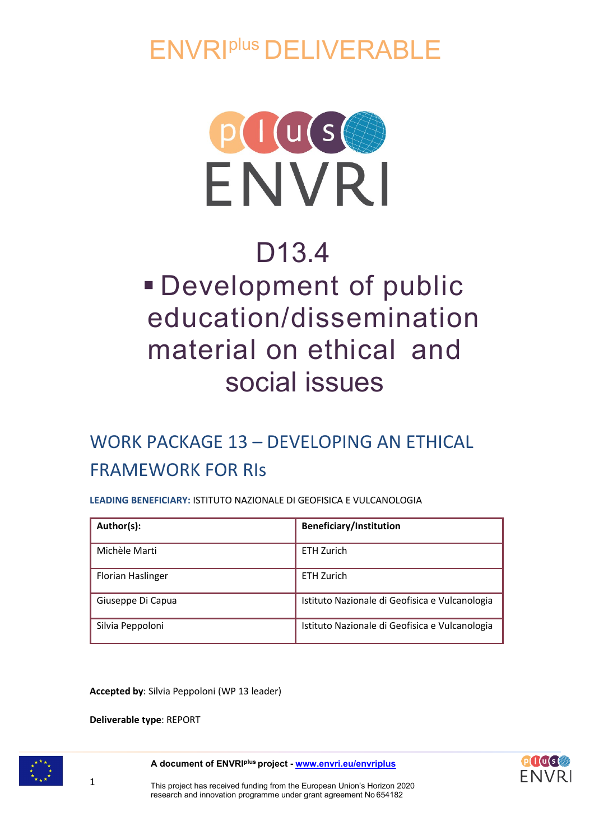ENVRIplus DELIVERABLE



# D13.4 Development of public education/dissemination material on ethical and social issues

# WORK PACKAGE 13 – DEVELOPING AN ETHICAL FRAMEWORK FOR RIs

**LEADING BENEFICIARY:** ISTITUTO NAZIONALE DI GEOFISICA E VULCANOLOGIA

| Author(s):               | <b>Beneficiary/Institution</b>                 |
|--------------------------|------------------------------------------------|
| Michèle Marti            | <b>ETH Zurich</b>                              |
| <b>Florian Haslinger</b> | <b>ETH Zurich</b>                              |
| Giuseppe Di Capua        | Istituto Nazionale di Geofisica e Vulcanologia |
| Silvia Peppoloni         | Istituto Nazionale di Geofisica e Vulcanologia |

**Accepted by**: Silvia Peppoloni (WP 13 leader)

**Deliverable type**: REPORT



**A document of ENVRIplus project - [www.envri.eu/envriplus](http://www.envri.eu/envriplus)**



1 This project has received funding from the European Union's Horizon 2020 research and innovation programme under grant agreement No 654182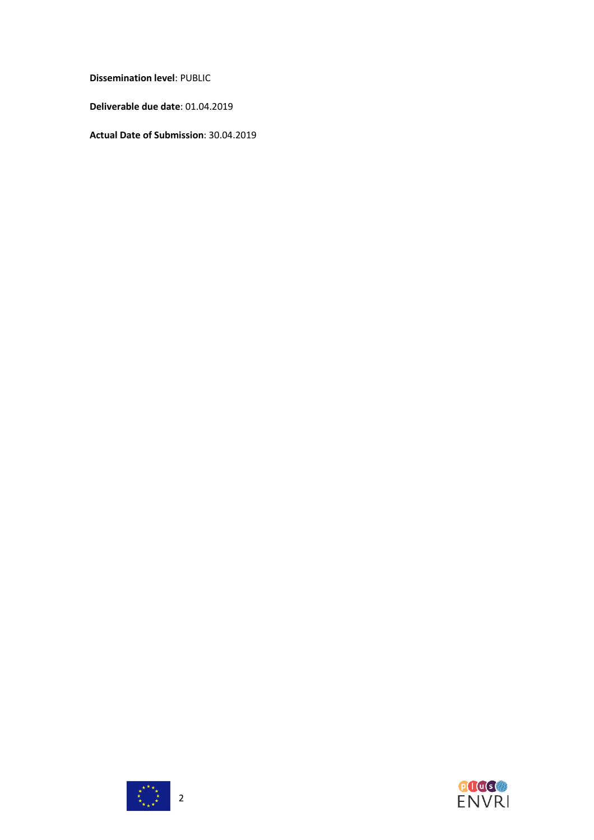**Dissemination level**: PUBLIC

**Deliverable due date**: 01.04.2019

**Actual Date of Submission**: 30.04.2019



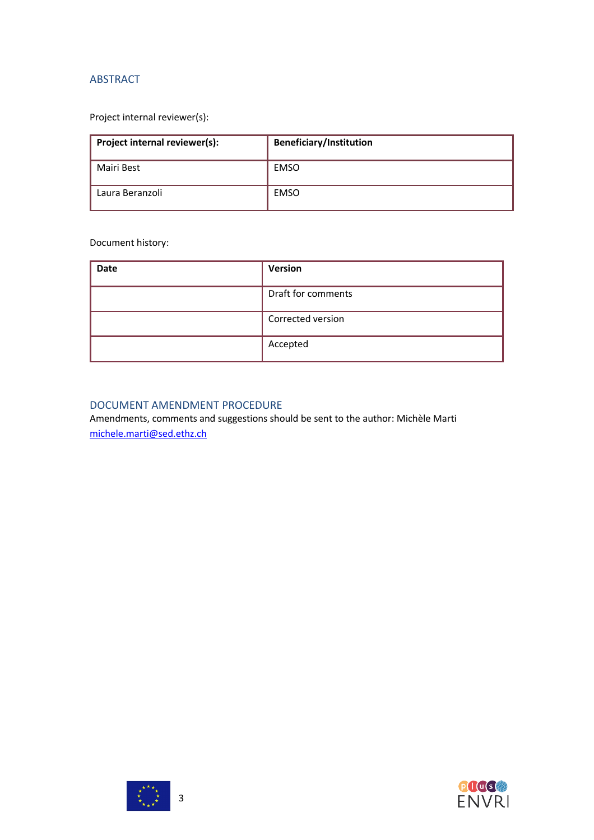### ABSTRACT

# Project internal reviewer(s):

| Project internal reviewer(s): | <b>Beneficiary/Institution</b> |
|-------------------------------|--------------------------------|
| Mairi Best                    | EMSO                           |
| Laura Beranzoli               | EMSO                           |

# Document history:

| <b>Date</b> | <b>Version</b>     |
|-------------|--------------------|
|             | Draft for comments |
|             | Corrected version  |
|             | Accepted           |

# DOCUMENT AMENDMENT PROCEDURE

Amendments, comments and suggestions should be sent to the author: Michèle Marti [michele.marti@sed.ethz.ch](mailto:michele.marti@sed.ethz.ch)



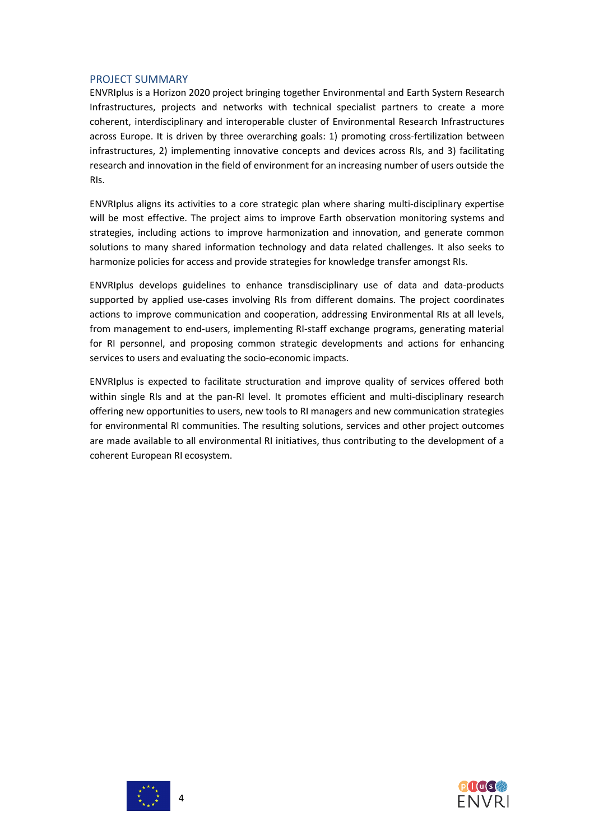#### PROJECT SUMMARY

ENVRIplus is a Horizon 2020 project bringing together Environmental and Earth System Research Infrastructures, projects and networks with technical specialist partners to create a more coherent, interdisciplinary and interoperable cluster of Environmental Research Infrastructures across Europe. It is driven by three overarching goals: 1) promoting cross-fertilization between infrastructures, 2) implementing innovative concepts and devices across RIs, and 3) facilitating research and innovation in the field of environment for an increasing number of users outside the RIs.

ENVRIplus aligns its activities to a core strategic plan where sharing multi-disciplinary expertise will be most effective. The project aims to improve Earth observation monitoring systems and strategies, including actions to improve harmonization and innovation, and generate common solutions to many shared information technology and data related challenges. It also seeks to harmonize policies for access and provide strategies for knowledge transfer amongst RIs.

ENVRIplus develops guidelines to enhance transdisciplinary use of data and data-products supported by applied use-cases involving RIs from different domains. The project coordinates actions to improve communication and cooperation, addressing Environmental RIs at all levels, from management to end-users, implementing RI-staff exchange programs, generating material for RI personnel, and proposing common strategic developments and actions for enhancing services to users and evaluating the socio-economic impacts.

ENVRIplus is expected to facilitate structuration and improve quality of services offered both within single RIs and at the pan-RI level. It promotes efficient and multi-disciplinary research offering new opportunities to users, new tools to RI managers and new communication strategies for environmental RI communities. The resulting solutions, services and other project outcomes are made available to all environmental RI initiatives, thus contributing to the development of a coherent European RI ecosystem.



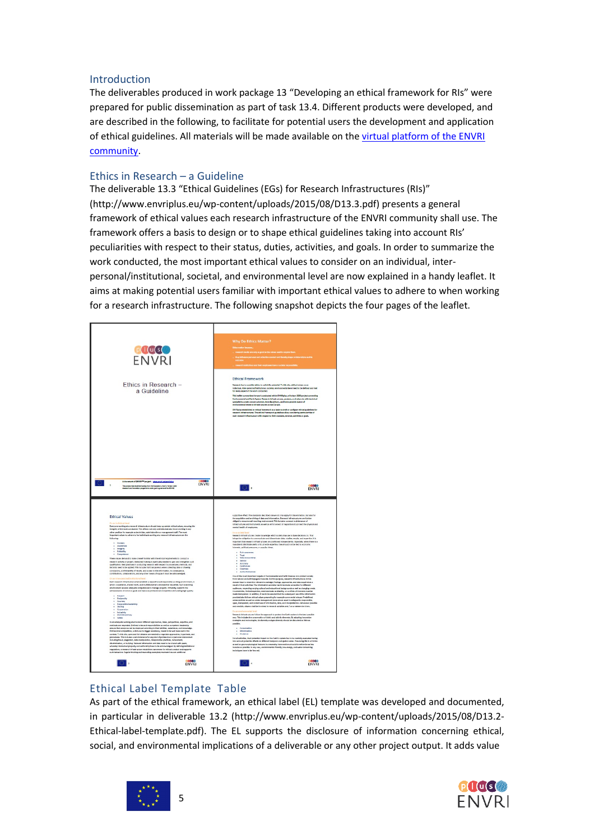#### Introduction

The deliverables produced in work package 13 "Developing an ethical framework for RIs" were prepared for public dissemination as part of task 13.4. Different products were developed, and are described in the following, to facilitate for potential users the development and application of ethical guidelines. All materials will be made available on th[e virtual platform of the ENVRI](http://envri.eu/) [community.](http://envri.eu/)

#### Ethics in Research – a Guideline

The deliverable 13.3 "Ethical Guidelines (EGs) for Research Infrastructures (RIs)" [\(http://www.envriplus.eu/wp-content/uploads/2015/08/D13.3.pdf\) p](http://www.envriplus.eu/wp-content/uploads/2015/08/D13.3.pdf))resents a general framework of ethical values each research infrastructure of the ENVRI community shall use. The framework offers a basis to design or to shape ethical guidelines taking into account RIs' peculiarities with respect to their status, duties, activities, and goals. In order to summarize the work conducted, the most important ethical values to consider on an individual, interpersonal/institutional, societal, and environmental level are now explained in a handy leaflet. It aims at making potential users familiar with important ethical values to adhere to when working for a research infrastructure. The following snapshot depicts the four pages of the leaflet.



# Ethical Label Template Table

As part of the ethical framework, an ethical label (EL) template was developed and documented, in particular in deliverable 13.2 [\(http://www.envriplus.eu/wp-content/uploads/2015/08/D13.2-](http://www.envriplus.eu/wp-content/uploads/2015/08/D13.2-) Ethical-label-template.pdf). The EL supports the disclosure of information concerning ethical, social, and environmental implications of a deliverable or any other project output. It adds value



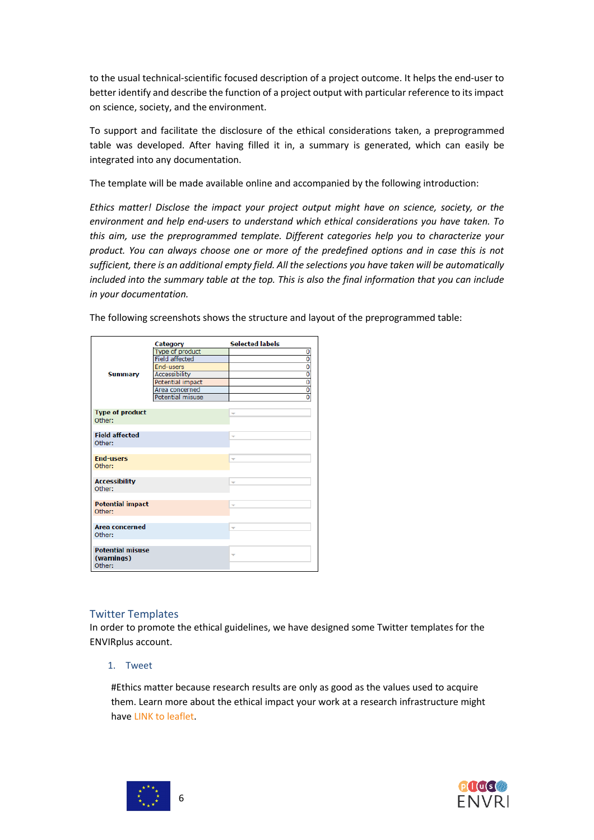to the usual technical-scientific focused description of a project outcome. It helps the end-user to better identify and describe the function of a project output with particular reference to itsimpact on science, society, and the environment.

To support and facilitate the disclosure of the ethical considerations taken, a preprogrammed table was developed. After having filled it in, a summary is generated, which can easily be integrated into any documentation.

The template will be made available online and accompanied by the following introduction:

*Ethics matter! Disclose the impact your project output might have on science, society, or the environment and help end-users to understand which ethical considerations you have taken. To this aim, use the preprogrammed template. Different categories help you to characterize your product. You can always choose one or more of the predefined options and in case this is not sufficient, there is an additional empty field. All the selections you have taken will be automatically included into the summary table at the top. This is also the final information that you can include in your documentation.*

| <b>Summary</b>                                  | Category<br>Type of product<br><b>Field affected</b><br><b>End-users</b><br><b>Accessibility</b><br>Potential impact<br>Area concerned<br>Potential misuse | <b>Selected labels</b><br>0<br>$\overline{\mathfrak{o}}$<br>$\overline{0}$<br>0<br>$\overline{0}$<br>$\overline{0}$<br>$\overline{0}$ |
|-------------------------------------------------|------------------------------------------------------------------------------------------------------------------------------------------------------------|---------------------------------------------------------------------------------------------------------------------------------------|
| <b>Type of product</b><br>Other:                |                                                                                                                                                            | ÷                                                                                                                                     |
| <b>Field affected</b><br>Other:                 |                                                                                                                                                            | ÷                                                                                                                                     |
| <b>End-users</b><br>Other:                      |                                                                                                                                                            | ٠                                                                                                                                     |
| <b>Accessibility</b><br>Other:                  |                                                                                                                                                            | ÷                                                                                                                                     |
| <b>Potential impact</b><br>Other:               |                                                                                                                                                            | $\overline{\phantom{a}}$                                                                                                              |
| <b>Area concerned</b><br>Other:                 |                                                                                                                                                            | ÷                                                                                                                                     |
| <b>Potential misuse</b><br>(warnings)<br>Other: |                                                                                                                                                            | ÷                                                                                                                                     |

The following screenshots shows the structure and layout of the preprogrammed table:

#### Twitter Templates

In order to promote the ethical guidelines, we have designed some Twitter templates for the ENVIRplus account.

1. Tweet

#Ethics matter because research results are only as good as the values used to acquire them. Learn more about the ethical impact your work at a research infrastructure might have LINK to leaflet.